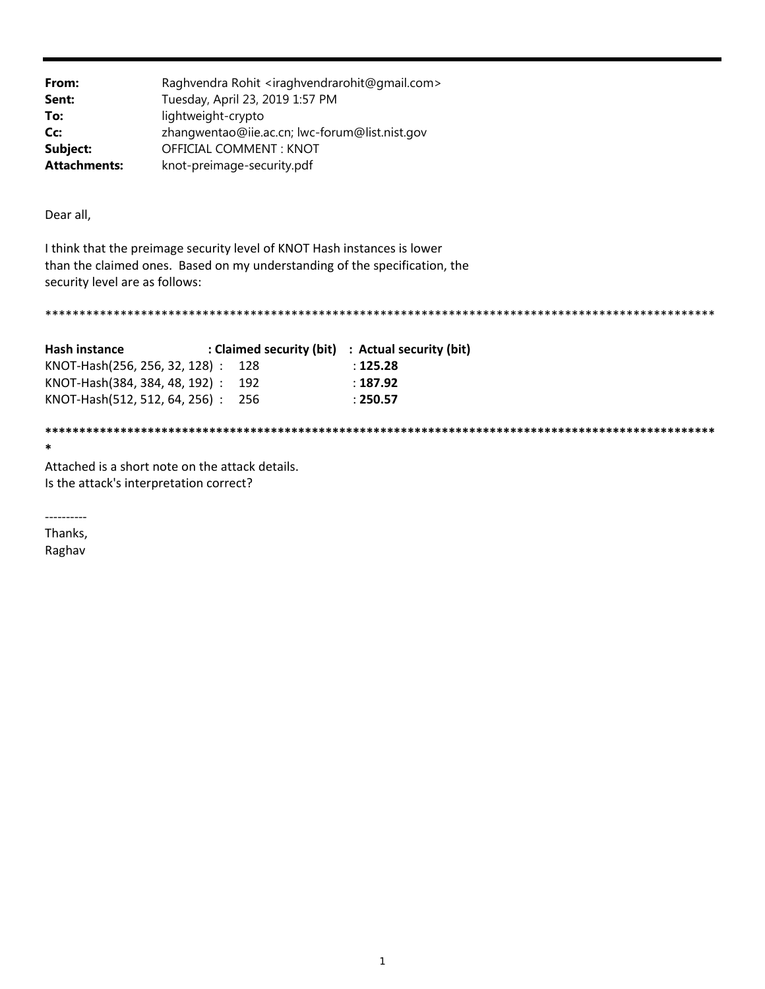| From:               | Raghvendra Rohit <iraghvendrarohit@gmail.com></iraghvendrarohit@gmail.com> |
|---------------------|----------------------------------------------------------------------------|
| Sent:               | Tuesday, April 23, 2019 1:57 PM                                            |
| To:                 | lightweight-crypto                                                         |
| Cc:                 | zhangwentao@iie.ac.cn; lwc-forum@list.nist.gov                             |
| Subject:            | OFFICIAL COMMENT: KNOT                                                     |
| <b>Attachments:</b> | knot-preimage-security.pdf                                                 |

Dear all,

I think that the preimage security level of KNOT Hash instances is lower than the claimed ones. Based on my understanding of the specification, the security level are as follows:

| <b>Hash instance</b>              | : Claimed security (bit) : Actual security (bit) |
|-----------------------------------|--------------------------------------------------|
| KNOT-Hash(256, 256, 32, 128): 128 | : 125.28                                         |
| KNOT-Hash(384, 384, 48, 192): 192 | ∶187.92                                          |
| KNOT-Hash(512, 512, 64, 256): 256 | : 250.57                                         |
|                                   |                                                  |

\*\*\*\*\*\*\*\*\*\*\*\*\*\*\*\*\*\*\*\*\*\*\*\*\*\*\*\*\*\*\*\*\* \*\*\*\*\*\*\*\*\*\*\*\*\*\* \*\*\*\*\*\*\*\*\*\*\*\*\*\*\*\*\*\*\*\*\*\*\*\*\*\*

 $\ast$ 

Attached is a short note on the attack details. Is the attack's interpretation correct?

-----------

Thanks, Raghav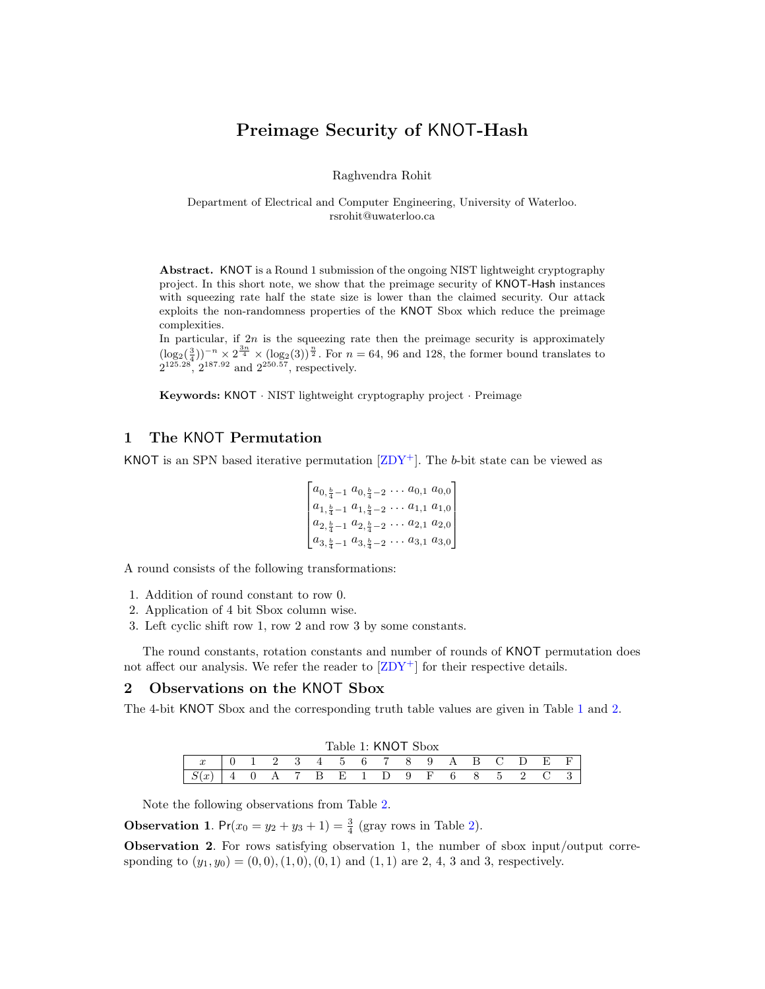# Preimage Security of KNOT-Hash

Raghvendra Rohit

Department of Electrical and Computer Engineering, University of Waterloo. rsrohit@uwaterloo.ca

Abstract. KNOT is a Round 1 submission of the ongoing NIST lightweight cryptography project. In this short note, we show that the preimage security of KNOT-Hash instances with squeezing rate half the state size is lower than the claimed security. Our attack exploits the non-randomness properties of the KNOT Sbox which reduce the preimage complexities.

In particular, if  $2n$  is the squeezing rate then the preimage security is approximately  $(\log_2(\frac{3}{4}))^{-n} \times 2^{\frac{3n}{4}} \times (\log_2(3))^{\frac{n}{2}}$ . For  $n = 64$ , 96 and 128, the former bound translates to  $2^{125.28}$ ,  $2^{187.92}$  and  $2^{250.57}$ , respectively.

Keywords: KNOT · NIST lightweight cryptography project · Preimage

### 1 The KNOT Permutation

KNOT is an SPN based iterative permutation  $\left[ \text{ZDY}^+ \right]$ . The b-bit state can be viewed as

$$
\begin{bmatrix} a_{0,\frac{b}{4}-1} & a_{0,\frac{b}{4}-2} & \dots & a_{0,1} & a_{0,0} \\ a_{1,\frac{b}{4}-1} & a_{1,\frac{b}{4}-2} & \dots & a_{1,1} & a_{1,0} \\ a_{2,\frac{b}{4}-1} & a_{2,\frac{b}{4}-2} & \dots & a_{2,1} & a_{2,0} \\ a_{3,\frac{b}{4}-1} & a_{3,\frac{b}{4}-2} & \dots & a_{3,1} & a_{3,0} \end{bmatrix}
$$

A round consists of the following transformations:

- 1. Addition of round constant to row 0.
- 2. Application of 4 bit Sbox column wise.
- 3. Left cyclic shift row 1, row 2 and row 3 by some constants.

The round constants, rotation constants and number of rounds of KNOT permutation does not affect our analysis. We refer the reader to  $\left[ \text{ZDY}^+ \right]$  for their respective details.

#### <span id="page-1-1"></span>2 Observations on the KNOT Sbox

<span id="page-1-0"></span>The 4-bit KNOT Sbox and the corresponding truth table values are given in Table [1](#page-1-0) and [2.](#page-2-0)

|                  |  |               |       |   |                                           |     | Table 1: KNOT Sbox |     |     |   |             |                        |    |  |
|------------------|--|---------------|-------|---|-------------------------------------------|-----|--------------------|-----|-----|---|-------------|------------------------|----|--|
| $\boldsymbol{x}$ |  | $\mathcal{L}$ | 3.    | 4 | - 5                                       | - 6 | 78                 |     | 9   | A | $\mathsf B$ | $\left( \cdot \right)$ | F. |  |
| . v              |  |               | A 7 B |   | $\alpha$ E <sup><math>\alpha</math></sup> |     | D                  | - 9 | – F | 6 |             | 5                      |    |  |

Note the following observations from Table [2.](#page-2-0)

**Observation 1.**  $Pr(x_0 = y_2 + y_3 + 1) = \frac{3}{4}$  (gray rows in Table [2\)](#page-2-0).

Observation 2. For rows satisfying observation 1, the number of sbox input/output corresponding to  $(y_1, y_0) = (0, 0), (1, 0), (0, 1)$  and  $(1, 1)$  are 2, 4, 3 and 3, respectively.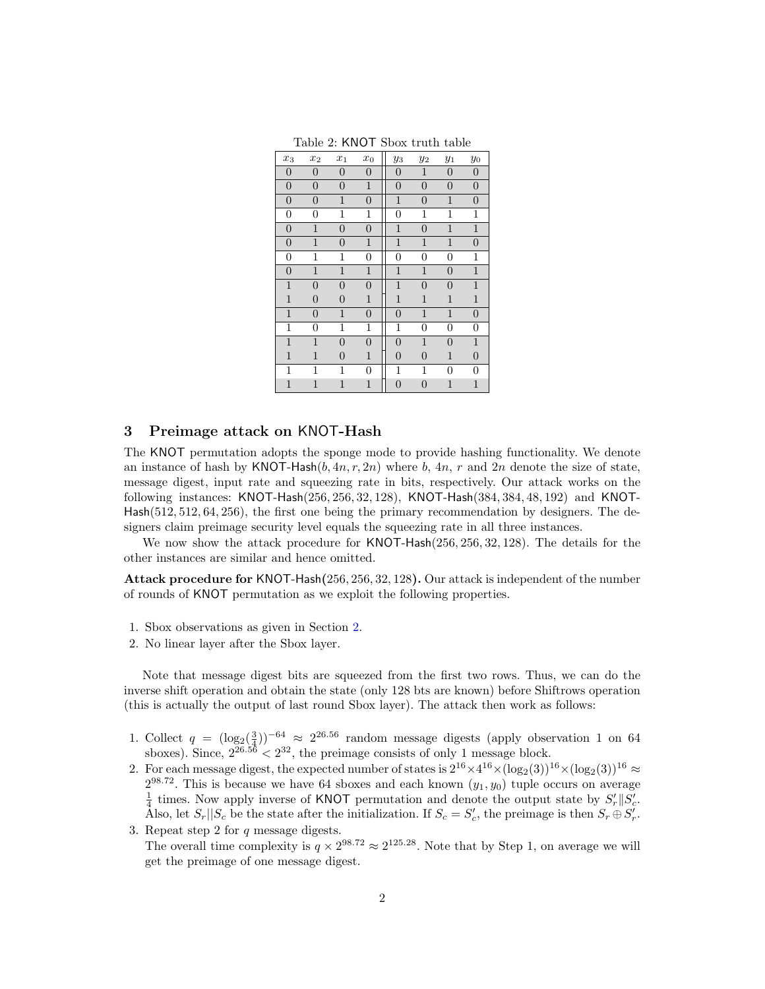<span id="page-2-0"></span>

| $x_3$            | $x_2$          | $\overline{x_1}$ | $x_0$            | $y_3$          | $y_2$          | $y_1$          | $y_0$            |
|------------------|----------------|------------------|------------------|----------------|----------------|----------------|------------------|
| $\boldsymbol{0}$ | $\overline{0}$ | $\overline{0}$   | $\overline{0}$   | 0              | $\mathbf{1}$   | 0              | $\overline{0}$   |
| $\boldsymbol{0}$ | $\overline{0}$ | $\overline{0}$   | $\mathbf{1}$     | $\overline{0}$ | $\overline{0}$ | $\overline{0}$ | $\boldsymbol{0}$ |
| $\boldsymbol{0}$ | $\overline{0}$ | $\mathbf{1}$     | $\overline{0}$   | $\mathbf{1}$   | $\overline{0}$ | $\mathbf{1}$   | $\overline{0}$   |
| $\overline{0}$   | $\overline{0}$ | 1                | 1                | 0              | 1              | 1              | 1                |
| $\overline{0}$   | $\mathbf{1}$   | $\overline{0}$   | $\overline{0}$   | $\mathbf{1}$   | $\overline{0}$ | $\mathbf{1}$   | $\mathbf{1}$     |
| $\overline{0}$   | $\mathbf{1}$   | $\overline{0}$   | $\mathbf{1}$     | $\mathbf{1}$   | $\mathbf{1}$   | $\mathbf{1}$   | $\overline{0}$   |
| $\boldsymbol{0}$ | 1              | 1                | 0                | 0              | 0              | 0              | 1                |
| $\overline{0}$   | $\mathbf{1}$   | $\mathbf{1}$     | $\mathbf{1}$     | $\mathbf{1}$   | $\mathbf{1}$   | $\overline{0}$ | $\mathbf{1}$     |
| $\mathbf{1}$     | $\overline{0}$ | $\overline{0}$   | $\overline{0}$   | $\mathbf 1$    | $\overline{0}$ | 0              | $\mathbf{1}$     |
| $\mathbf{1}$     | $\overline{0}$ | $\overline{0}$   | $\mathbf{1}$     | $\mathbf 1$    | $\mathbf{1}$   | $\mathbf{1}$   | $\mathbf 1$      |
| $\mathbf{1}$     | $\overline{0}$ | $\mathbf{1}$     | $\overline{0}$   | $\overline{0}$ | $\mathbf{1}$   | $\mathbf{1}$   | $\overline{0}$   |
| 1                | 0              | 1                | 1                | 1              | 0              | 0              | 0                |
| $\mathbf{1}$     | $\mathbf{1}$   | $\overline{0}$   | $\boldsymbol{0}$ | $\overline{0}$ | $\mathbf{1}$   | $\overline{0}$ | $\,1$            |
| $\mathbf{1}$     | $\mathbf{1}$   | 0                | $\mathbf{1}$     | 0              | $\overline{0}$ | $\mathbf{1}$   | $\overline{0}$   |
| 1                | 1              | 1                | 0                | 1              | 1              | 0              | $\overline{0}$   |
| $\mathbf{1}$     | $\mathbf{1}$   | $\mathbf{1}$     | $\mathbf{1}$     | $\overline{0}$ | $\overline{0}$ | $\mathbf{1}$   | $\mathbf{1}$     |

Table 2: KNOT Sbox truth table

#### 3 Preimage attack on KNOT-Hash

The KNOT permutation adopts the sponge mode to provide hashing functionality. We denote an instance of hash by  $\text{KNOT-Hash}(b, 4n, r, 2n)$  where b,  $4n, r$  and  $2n$  denote the size of state, message digest, input rate and squeezing rate in bits, respectively. Our attack works on the following instances: KNOT-Hash(256, 256, 32, 128), KNOT-Hash(384, 384, 48, 192) and KNOT-Hash(512, 512, 64, 256), the first one being the primary recommendation by designers. The designers claim preimage security level equals the squeezing rate in all three instances.

We now show the attack procedure for KNOT-Hash(256, 256, 32, 128). The details for the other instances are similar and hence omitted.

Attack procedure for KNOT-Hash(256, 256, 32, 128). Our attack is independent of the number of rounds of KNOT permutation as we exploit the following properties.

- 1. Sbox observations as given in Section [2.](#page-1-1)
- 2. No linear layer after the Sbox layer.

Note that message digest bits are squeezed from the first two rows. Thus, we can do the inverse shift operation and obtain the state (only 128 bts are known) before Shiftrows operation (this is actually the output of last round Sbox layer). The attack then work as follows:

- 1. Collect  $q = (\log_2(\frac{3}{4}))^{-64} \approx 2^{26.56}$  random message digests (apply observation 1 on 64 sboxes). Since,  $2^{26.56} < 2^{32}$ , the preimage consists of only 1 message block.
- 2. For each message digest, the expected number of states is  $2^{16} \times 4^{16} \times (\log_2(3))^{16} \times (\log_2(3))^{16} \approx$  $2^{98.72}$ . This is because we have 64 sboxes and each known  $(y_1, y_0)$  tuple occurs on average  $\frac{1}{4}$  times. Now apply inverse of KNOT permutation and denote the output state by  $S'_r||S'_c$ . Also, let  $S_r||S_c$  be the state after the initialization. If  $S_c = S'_c$ , the preimage is then  $S_r \oplus S'_r$ .
- 3. Repeat step 2 for  $q$  message digests. The overall time complexity is  $q \times 2^{98.72} \approx 2^{125.28}$ . Note that by Step 1, on average we will get the preimage of one message digest.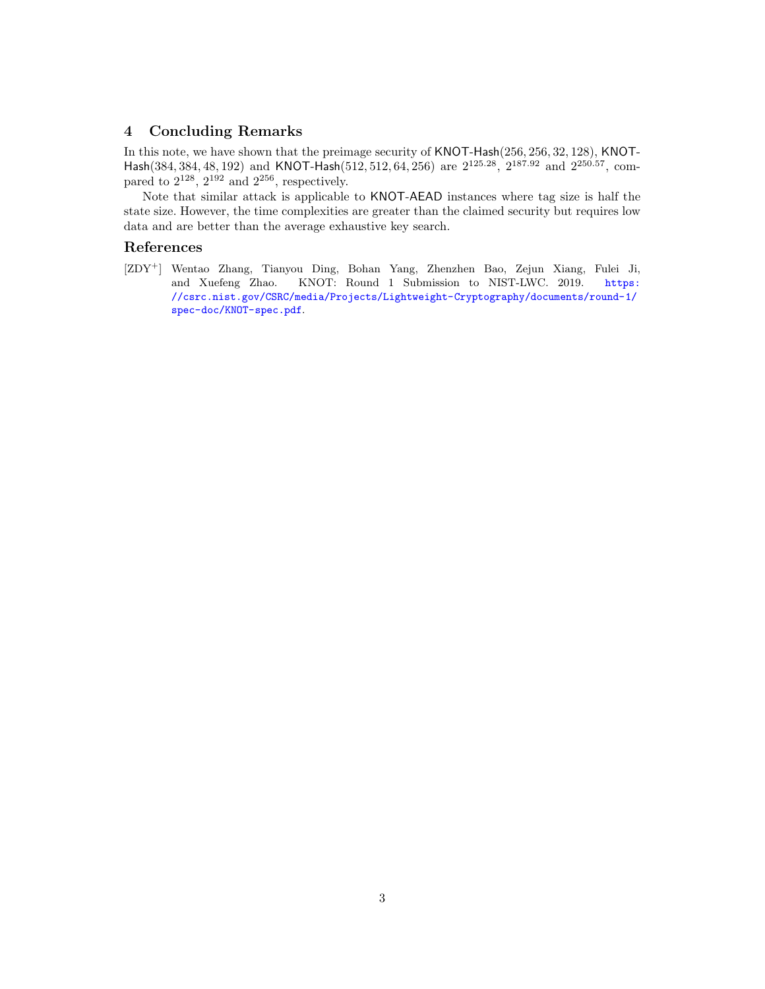## 4 Concluding Remarks

In this note, we have shown that the preimage security of KNOT-Hash(256, 256, 32, 128), KNOT-Hash(384, 384, 48, 192) and KNOT-Hash(512, 512, 64, 256) are 2125.28, 2187.<sup>92</sup> and 2250.57, compared to  $2^{128}$ ,  $2^{192}$  and  $2^{256}$ , respectively.

Note that similar attack is applicable to KNOT-AEAD instances where tag size is half the state size. However, the time complexities are greater than the claimed security but requires low data and are better than the average exhaustive key search.

## References

<span id="page-3-0"></span>[ZDY<sup>+</sup>] Wentao Zhang, Tianyou Ding, Bohan Yang, Zhenzhen Bao, Zejun Xiang, Fulei Ji, and Xuefeng Zhao. KNOT: Round 1 Submission to NIST-LWC. 2019. [https:](https://csrc.nist.gov/CSRC/media/Projects/Lightweight-Cryptography/documents/round-1/spec-doc/KNOT-spec.pdf) [//csrc.nist.gov/CSRC/media/Projects/Lightweight-Cryptography/documents/round-1/](https://csrc.nist.gov/CSRC/media/Projects/Lightweight-Cryptography/documents/round-1/spec-doc/KNOT-spec.pdf) [spec-doc/KNOT-spec.pdf](https://csrc.nist.gov/CSRC/media/Projects/Lightweight-Cryptography/documents/round-1/spec-doc/KNOT-spec.pdf).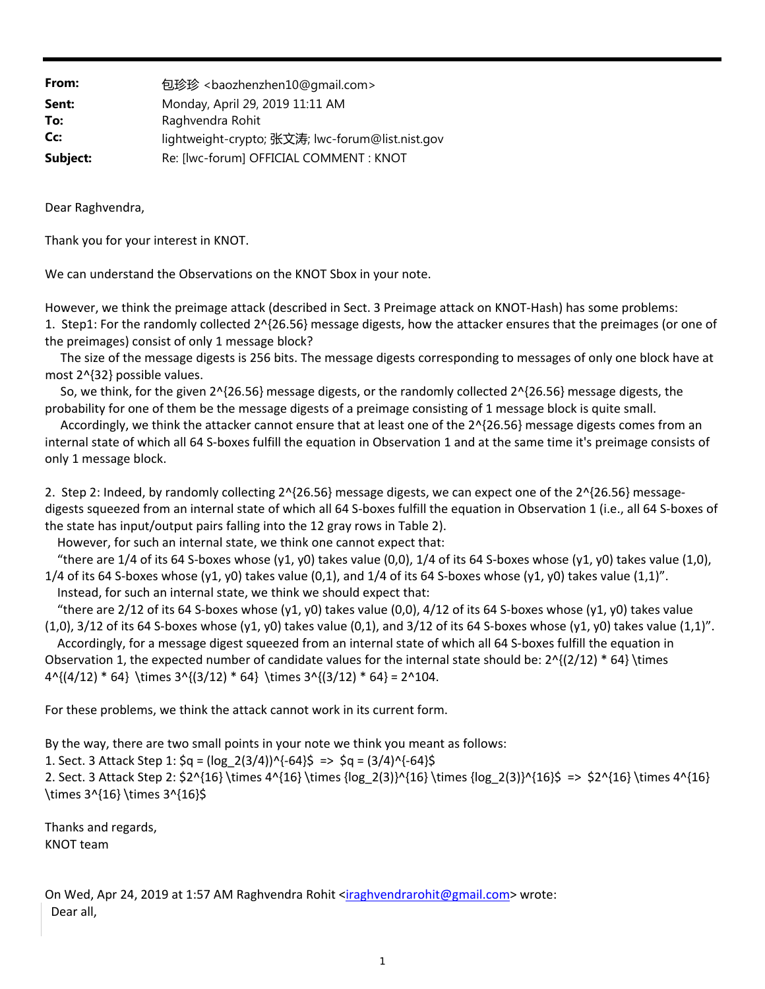| From:    | 包珍珍 <baozhenzhen10@gmail.com></baozhenzhen10@gmail.com> |
|----------|---------------------------------------------------------|
| Sent:    | Monday, April 29, 2019 11:11 AM                         |
| To:      | Raghvendra Rohit                                        |
| Cc:      | lightweight-crypto; 张文涛; lwc-forum@list.nist.gov        |
| Subject: | Re: [lwc-forum] OFFICIAL COMMENT : KNOT                 |

Dear Raghvendra,

Thank you for your interest in KNOT.

We can understand the Observations on the KNOT Sbox in your note.

However, we think the preimage attack (described in Sect. 3 Preimage attack on KNOT‐Hash) has some problems: 1. Step1: For the randomly collected 2^{26.56} message digests, how the attacker ensures that the preimages (or one of the preimages) consist of only 1 message block?

 The size of the message digests is 256 bits. The message digests corresponding to messages of only one block have at most 2^{32} possible values.

 So, we think, for the given 2^{26.56} message digests, or the randomly collected 2^{26.56} message digests, the probability for one of them be the message digests of a preimage consisting of 1 message block is quite small.

 Accordingly, we think the attacker cannot ensure that at least one of the 2^{26.56} message digests comes from an internal state of which all 64 S‐boxes fulfill the equation in Observation 1 and at the same time it's preimage consists of only 1 message block.

2. Step 2: Indeed, by randomly collecting  $2^{A}$ {26.56} message digests, we can expect one of the 2^{26.56} messagedigests squeezed from an internal state of which all 64 S-boxes fulfill the equation in Observation 1 (i.e., all 64 S-boxes of the state has input/output pairs falling into the 12 gray rows in Table 2).

However, for such an internal state, we think one cannot expect that:

"there are  $1/4$  of its 64 S-boxes whose (y1, y0) takes value (0,0),  $1/4$  of its 64 S-boxes whose (y1, y0) takes value (1,0), 1/4 of its 64 S-boxes whose (y1, y0) takes value (0,1), and  $1/4$  of its 64 S-boxes whose (y1, y0) takes value (1,1)".

Instead, for such an internal state, we think we should expect that:

"there are 2/12 of its 64 S-boxes whose (y1, y0) takes value (0,0), 4/12 of its 64 S-boxes whose (y1, y0) takes value  $(1,0)$ , 3/12 of its 64 S-boxes whose  $(y1, y0)$  takes value  $(0,1)$ , and 3/12 of its 64 S-boxes whose  $(y1, y0)$  takes value  $(1,1)$ ".

 Accordingly, for a message digest squeezed from an internal state of which all 64 S‐boxes fulfill the equation in Observation 1, the expected number of candidate values for the internal state should be:  $2^{(2/12) * 64}$  \times  $4^{(4/12)} * 64}$  \times  $3^{(3/12)} * 64}$  \times  $3^{(3/12)} * 64} = 2^104$ .

For these problems, we think the attack cannot work in its current form.

By the way, there are two small points in your note we think you meant as follows:

1. Sect. 3 Attack Step 1:  $\zeta q = (\log_2 2(3/4))$ ^{-64}\$ =>  $\zeta q = (3/4)$ ^{-64}\$

2. Sect. 3 Attack Step 2:  $2^3 \times 4^6 \times 4^6 \times 4^6 \times 4^6 \times 4^6 \times 4^6 \times 4^6 \times 4^6 \times 4^6 \times 4^6 \times 4^6 \times 4^6 \times 4^6 \times 4^6 \times 4^6 \times 4^6 \times 4^6 \times 4^6 \times 4^6 \times 4^6 \times 4^6 \times 4^6 \times 4^6 \times 4^6 \times 4^6 \times 4^6 \times 4^6 \times 4^6 \times 4^6 \times 4^6 \times 4^6 \times 4^$ \times 3^{16} \times 3^{16}\$

Thanks and regards, KNOT team

On Wed, Apr 24, 2019 at 1:57 AM Raghvendra Rohit <iraghvendrarohit@gmail.com> wrote: Dear all,